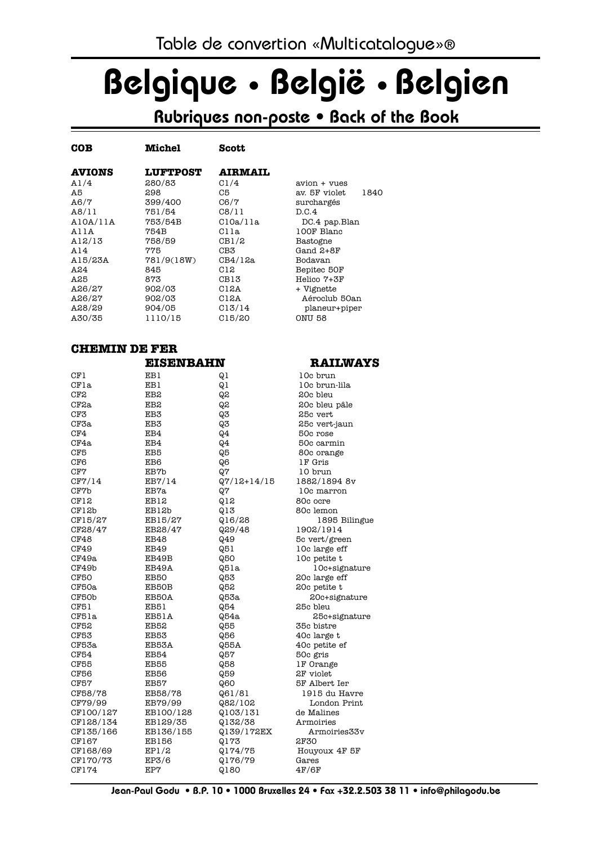# Belgique • België • Belgien

## Rubriques non-poste • Back of the Book

| <b>COB</b>    | <b>Michel</b>   | <b>Scott</b>       |                       |
|---------------|-----------------|--------------------|-----------------------|
| <b>AVIONS</b> | <b>LUFTPOST</b> | <b>AIRMAIL</b>     |                       |
| A1/4          | 280/83          | C1/4               | avion + vues          |
| A5            | 298             | C5                 | 1840<br>av. 5F violet |
| A6/7          | 399/400         | C6/7               | surchargés            |
| A8/11         | 751/54          | C8/11              | D.C.4                 |
| A10A/11A      | 753/54B         | C10a/11a           | DC.4 pap.Blan         |
| AllA          | 754B            | Clla               | 100F Blanc            |
| A12/13        | 758/59          | CB1/2              | Bastogne              |
| A14           | 775             | CB3                | Gand 2+8F             |
| A15/23A       | 781/9(18W)      | CB4/12a            | Bodavan               |
| A24           | 845             | C12                | Bepitec 50F           |
| A25           | 873             | CB13               | Helico 7+3F           |
| A26/27        | 902/03          | C12A               | + Vignette            |
| A26/27        | 902/03          | C12A               | Aéroclub 50an         |
| A28/29        | 904/05          | Cl <sub>3/14</sub> | planeur+piper         |
| A30/35        | 1110/15         | C15/20             | ONU 58                |

#### **CHEMIN DE FER**

|                 | <b>EISENBAHN</b> |                 | <b>RAILWA</b> |
|-----------------|------------------|-----------------|---------------|
| CF1             | EB1              | Q <sub>1</sub>  | 10c brun      |
| CFla            | EB1              | Q1              | 10c brun-lila |
| CF2             | EB2              | 65              | 20c bleu      |
| CF2a            | EB2              | Q,2             | 20c bleu pâle |
| CF3             | EB <sub>3</sub>  | Q3              | 25c vert      |
| CF3a            | EB3              | Q <sub>3</sub>  | 25c vert-jaun |
| CF4             | EB4              | Q <sub>2</sub>  | 50c rose      |
| CF4a            | EB4              | Q <sub>2</sub>  | 50c carmin    |
| CF <sub>5</sub> | EB <sub>5</sub>  | Q5              | 80c orange    |
| CF6             | EB6              | Q <sub>6</sub>  | 1F Gris       |
| CF7             | EB7b             | Q7              | 10 brun       |
| CF7/14          | EB7/14           | $Q7/12 + 14/15$ | 1882/1894 8v  |
| CF7b            | EB7a             | Q7              | 10c marron    |
| CF12            | EB12             | Q12             | 80c ocre      |
| CF12b           | EB12b            | Q13             | 80c lemon     |
| CF15/27         | EB15/27          | Q16/28          | 1895 Biling   |
| CF28/47         | EB28/47          | Q29/48          | 1902/1914     |
| CF48            | EB48             | Q49             | 5c vert/green |
| CF49            | EB49             | Q51             | 10c large eff |
| CF49a           | EB49B            | <b>Q50</b>      | 10c petite t  |
| CF49b           | EB49A            | Q51a            | 10c+signatur  |
| <b>CF50</b>     | <b>EB50</b>      | Q53             | 20c large eff |
| CF50a           | EB50B            | Q52             | 20c petite t  |
| CF50b           | EB50A            | Q53a            | 20c+signatur  |
| CF51            | EB51             | Q54             | 25c bleu      |
| CF51a           | EB51A            | Q54a            | 25c+signatur  |
| <b>CF52</b>     | EB52             | Q55             | 35c bistre    |
| <b>CF53</b>     | EB53             | Q56             | 40c large t   |
| CF53a           | EB53A            | <b>Q55A</b>     | 40c petite ef |
| CF54            | <b>EB54</b>      | Q57             | 50c gris      |
| CF55            | EB55             | Q58             | 1F Orange     |
| <b>CF56</b>     | <b>EB56</b>      | Q59             | 2F violet     |
| <b>CF57</b>     | EB57             | Q60             | 5F Albert Ier |
| CF58/78         | EB58/78          | Q61/81          | 1915 du Havre |
| CF79/99         | EB79/99          | Q82/102         | London Print  |
| CF100/127       | EB100/128        | Q103/131        | de Malines    |
| CF128/134       | EB129/35         | Q132/38         | Armoiries     |
| CF135/166       | EB136/155        | Q139/172EX      | Armoiries33v  |
| CF167           | <b>EB156</b>     | Q173            | 2F30          |
| CF168/69        | EP1/2            | Q174/75         | Houyoux 4F 5F |
| CF170/73        | EPZ/6            | 0176/79         | Gares         |
| CF174           | EP7              | Q180            | 4F/6F         |
|                 |                  |                 |               |

#### **ELWAYS**

**5 Bilingue** signature .<br>signature signature on Print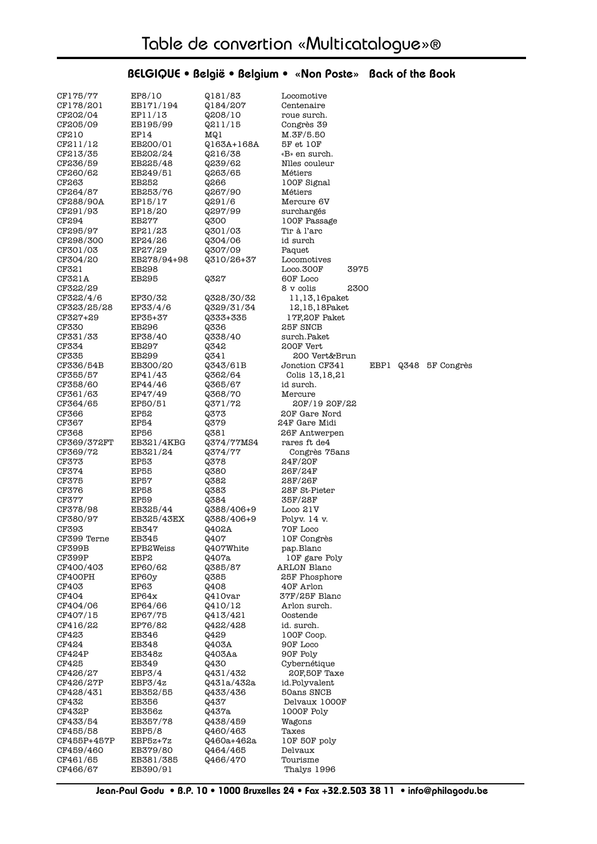#### CF175/77 EP8/10 Q181/83 Locomotive CF178/201 EB171/194 Q184/207 Centenaire<br>CF202/04 EP11/13 Q208/10 roue surch CF202/04 EP11/13 Q208/10 roue surch. CF205/09 EB195/99 Q211/15 Congrès 39 CF210 EP14 MQ1 M.3F/5.50<br>CF211/12 EB200/01 Q163A+168A 5F et 10F Q163A+168A 5F et 10F CF213/35 EB202/24 Q216/38 «B» en surch. CF236/59 EB225/48 Q239/62 Nlles couleur CF260/62 EB249/51 Q263/65 Métiers CF263 EB252 
Q266 100F Signal CF264/87 EB253/76 Q267/90 Métiers CF288/90A EP15/17 Q291/6 Mercure 6V CF291/93 EP18/20 Q297/99 surchargés CF294 EB277 Q300 100F Passage CF295/97 EP21/23 Q301/03 Tir à l'arc CF298/300 EP24/26 Q304/06 id surch CF301/03 EP27/29 Q307/09 Paquet<br>CF304/20 EB278/94+98 Q310/26+37 Locomo  $Q310/26+37$  Locomotives CF321 EB298 <br>
CF321A EB295 0327 60F Loco Q327 60F Loco CF322/29 8 v colis 2300 CF322/4/6 EP30/32 Q328/30/32 11,13,16paket<br>CF323/25/28 EP33/4/6 Q329/31/34 12,15,18Paket CF323/25/28 EP33/4/6 Q329/31/34 12,15,18Paket CF327+29 EP35+37 Q333+335 17F,20F Paket CF330 EB296 0336 25F SNCB CF331/33 EP38/40 Q338/40 surch.Paket CF334 EB297 Q342 200F Vert CF335 EB299  $\frac{0.341}{0.343}$  200 Vert&Brun<br>CF336/54B EB300/20  $\frac{0.343}{0.343}$  30 Jonction CF341 CF336/54B EB300/20 Q343/61B Jonction CF341 EBP1 Q348 5F Congrès CF355/57 EP41/43 Q362/64 Colis 13,18,21 CF358/60 EP44/46 Q365/67 id surch. CF361/63 EP47/49 Q368/70 Mercure<br>CF364/65 EP50/51 Q371/72 20F/1 CF364/65 EP50/51 Q371/72 20F/19 20F/22 CF366 EP52 Q373 20F Gare Nord CF367 EP54 Q379 24F Gare Midi CF368 EP56 Q381 26F Antwerpen CF369/372FT EB321/4KBG Q374/77MS4 rares ft de4 CF369/72 EB321/24 Q374/77 Congrès 75ans CF373 EP53 Q378 24F/20F CF374 EP55 Q380 26F/24F CF375 EP57 Q382 28F/26F CF376 EP58 Q383 28F St-Pieter CF377 EP59 Q384 35F/28F  $Q388/406+9$ CF380/97 EB325/43EX Q388/406+9 Polyv. 14 v. CF393 EB347 Q402A 70F Loco CF399 Terne EB345 Q407 10F Congrès CF399B EPB2Weiss Q407White pap.Blanc CF399P EBP2  $Q407a$  10F gare Poly CF400/403 EP60/62 Q385/87 ARLON Blanc CF400PH EP60y 0385 25F Phosphore CF403 EP63 Q408 40F Arlon  $CF404$  EP64x  $Q410var$  37F/25F Blanc CF404/06 EP64/66  $Q410/12$  Arlon surch. CF407/15 EP67/75 Q413/421 Oostende CF416/22 EP76/82 Q422/428 id. surch. CF423 EB346  $Q429$  100F Coop. CF424 EB348 Q403A 90F Loco CF424P EB348z Q403Aa 90F Poly CF425 EB349 Q430 Cybernétique EBP3/4  $Q431/432$  20F,50F Taxe CF426/27P EBP3/4z Q431a/432a id.Polyvalent CF428/431 EB352/55 Q433/436 50ans SNCB CF432 EB356 Q437 Delvaux 1000F CF432P EB356z  $Q437a$  1000F Poly CF433/54 EB357/78 Q438/459 Wagons CF455/58 EBP5/8 Q460/463 Taxes  $0460a+462a$  10F 50F poly CF459/460 EB379/80 Q464/465 Delvaux CF461/65 EB381/385 Q466/470 Tourisme CF466/67 EB390/91 Thalys 1996

#### BELGIQUE • België • Belgium • «Non Poste» Back of the Book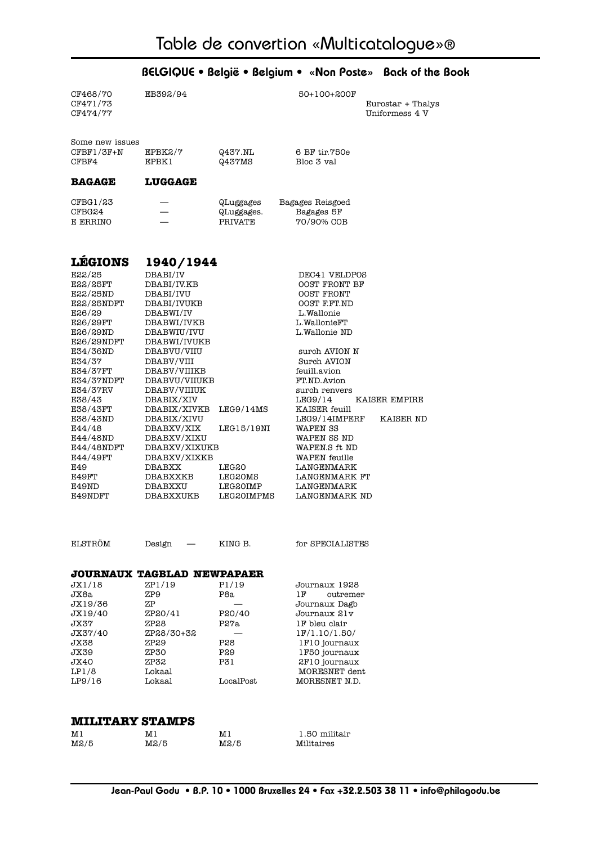| CF468/70               | EB392/94                          |                       | 50+100+200F                        |                                     |
|------------------------|-----------------------------------|-----------------------|------------------------------------|-------------------------------------|
| CF471/73<br>CF474/77   |                                   |                       |                                    | Eurostar + Thalys<br>Uniformess 4 V |
|                        |                                   |                       |                                    |                                     |
| Some new issues        |                                   |                       |                                    |                                     |
| $CFBF1/3F+N$<br>CFBF4  | EPBK2/7<br>EPBK1                  | Q437.NL<br>Q437MS     | 6 BF tir.750e<br>Bloc 3 val        |                                     |
|                        |                                   |                       |                                    |                                     |
| <b>BAGAGE</b>          | <b>LUGGAGE</b>                    |                       |                                    |                                     |
| CFBG1/23               |                                   | QLuggages             | Bagages Reisgoed                   |                                     |
| CFBG24<br>E ERRINO     |                                   | QLuggages.<br>PRIVATE | Bagages 5F<br>70/90% COB           |                                     |
|                        |                                   |                       |                                    |                                     |
|                        |                                   |                       |                                    |                                     |
| <b>LEGIONS</b>         | 1940/1944                         |                       |                                    |                                     |
| E22/25                 | DBABI/IV                          |                       | DEC41 VELDPOS                      |                                     |
| <b>E22/25FT</b>        | DBABI/IV.KB                       |                       | OOST FRONT BF                      |                                     |
| E22/25ND               | DBABI/IVU                         |                       | OOST FRONT                         |                                     |
| E22/25NDFT<br>E26/29   | DBABI/IVUKB<br>DBABWI/IV          |                       | OOST F.FT.ND<br>L.Wallonie         |                                     |
| E26/29FT               | DBABWI/IVKB                       |                       | L.WallonieFT                       |                                     |
| E26/29ND               | DBABWIU/IVU                       |                       | L.Wallonie ND                      |                                     |
| E26/29NDFT             | DBABWI/IVUKB                      |                       |                                    |                                     |
| E34/36ND               | DBABVU/VIIU                       |                       | surch AVION N                      |                                     |
| E34/37                 | DBABV/VIII                        |                       | Surch AVION                        |                                     |
| E34/37FT               | DBABV/VIIIKB                      |                       | feuill.avion<br>FT.ND.Avion        |                                     |
| E34/37NDFT<br>E34/37RV | DBABVU/VIIUKB<br>DBABV/VIIIUK     |                       | surch renvers                      |                                     |
| E38/43                 | DBABIX/XIV                        |                       | LEG9/14                            | KAISER EMPIRE                       |
| E38/43FT               | DBABIX/XIVKB                      | LEG9/14MS             | KAISER feuill                      |                                     |
| E38/43ND               | DBABIX/XIVU                       |                       | LEG9/14IMPERF                      | KAISER ND                           |
| E44/48                 | DBABXV/XIX                        | LEG15/19NI            | WAPEN SS                           |                                     |
| E44/48ND               | DBABXV/XIXU                       |                       | WAPEN SS ND                        |                                     |
| E44/48NDFT             | DBABXV/XIXUKB                     |                       | WAPEN.S ft ND                      |                                     |
| E44/49FT<br>E49        | DBABXV/XIXKB<br><b>DBABXX</b>     | <b>LEG20</b>          | <b>WAPEN</b> feuille<br>LANGENMARK |                                     |
| E49FT                  | DBABXXKB                          | <b>LEG20MS</b>        | LANGENMARK FT                      |                                     |
| E49ND                  | DBABXXU                           | LEG20IMP              | LANGENMARK                         |                                     |
| E49NDFT                | DBABXXUKB                         | <b>LEG20IMPMS</b>     | LANGENMARK ND                      |                                     |
|                        |                                   |                       |                                    |                                     |
|                        |                                   |                       |                                    |                                     |
| ELSTRÖM                | Design                            | KING B.               | for SPECIALISTES                   |                                     |
|                        | <b>JOURNAUX TAGBLAD NEWPAPAER</b> |                       |                                    |                                     |
| JX1/18                 | ZP1/19                            | P1/19                 | Journaux 1928                      |                                     |
| JX8a                   | ZP9                               | P8a                   | 1F<br>outremer                     |                                     |
| JX19/36                | ZΡ                                |                       | Journaux Dagb                      |                                     |
| JX19/40                | ZP20/41                           | P20/40                | Journaux 21v                       |                                     |
| JX37                   | ZP28                              | P27a                  | 1F bleu clair                      |                                     |
| JX37/40<br>JX38        | ZP28/30+32<br>ZP29                | P28                   | 1F/1.10/1.50/<br>1F10 journaux     |                                     |
| JX39                   | ZP30                              | P29                   | 1F50 journaux                      |                                     |
| JX40                   | ZP32                              | P31                   | 2F10 journaux                      |                                     |
| LPI/8                  | Lokaal                            |                       | MORESNET dent                      |                                     |
| LP9/16                 | Lokaal                            | LocalPost             | MORESNET N.D.                      |                                     |
|                        |                                   |                       |                                    |                                     |
| <b>MILITARY STAMPS</b> |                                   |                       |                                    |                                     |
| M1                     | M1                                | M1                    | 1.50 militair                      |                                     |
| M2/5                   | M2/5                              | M2/5                  | Militaires                         |                                     |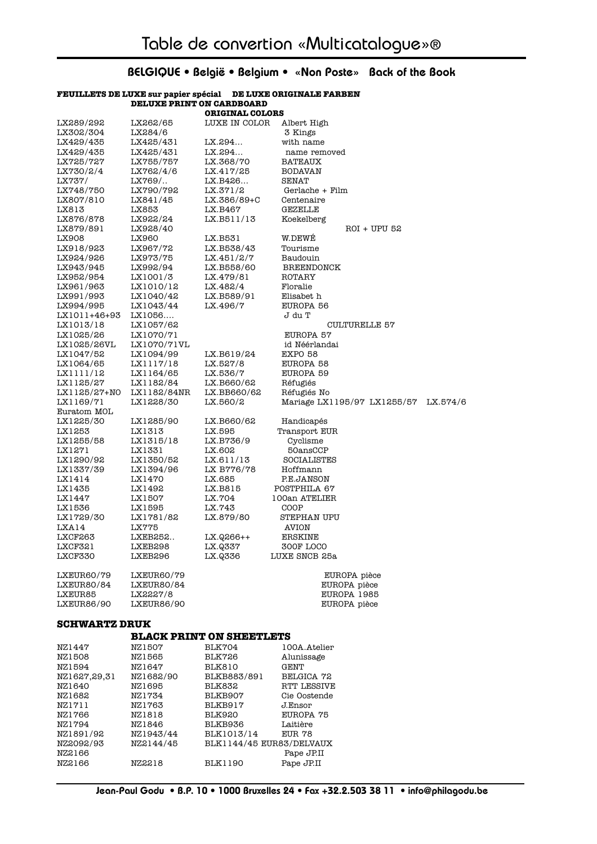#### **FEUILLETS DE LUXE sur papier spécial DE LUXE ORIGINALE FARBEN DELUXE PRINT ON CARDBOARD ORIGINAL COLORS**

| LX289/292         | LX262/65          | LUXE IN COLOR | Albert High                 |          |
|-------------------|-------------------|---------------|-----------------------------|----------|
| LX302/304         | LX284/6           |               | 3 Kings                     |          |
| LX429/435         | LX425/431         | LX.294        | with name                   |          |
| LX429/435         | LX425/431         | LX.294        | name removed                |          |
| LX725/727         | LX755/757         | LX.368/70     | <b>BATEAUX</b>              |          |
| LX730/2/4         | LX762/4/6         | LX.417/25     | <b>BODAVAN</b>              |          |
| LX737/            | LX769/            | LX.B426       | SENAT                       |          |
| LX748/750         | LX790/792         | LX.371/2      | Gerlache + Film             |          |
| LX807/810         | LX841/45          | LX.386/89+C   | Centenaire                  |          |
| LX813             | LX853             | LX.B467       | <b>GEZELLE</b>              |          |
| LX876/878         | LX922/24          | LX.B511/13    | Koekelberg                  |          |
| LX879/891         | LX928/40          |               | ROI + UPU 52                |          |
| LX908             | LX960             | LX.B531       | W.DEWÉ                      |          |
| LX918/923         | LX967/72          | LX.B538/43    | Tourisme                    |          |
| LX924/926         | LX973/75          | LX.451/2/7    | Baudouin                    |          |
| LX943/945         | LX992/94          | LX.B558/60    | <b>BREENDONCK</b>           |          |
| LX952/954         | LX1001/3          | LX.479/81     | ROTARY                      |          |
| LX961/963         | LX1010/12         | LX.482/4      | Floralie                    |          |
| LX991/993         | LX1040/42         | LX.B589/91    | Elisabet h                  |          |
| LX994/995         | LX1043/44         | LX.496/7      | EUROPA 56                   |          |
| LX1011+46+93      | LX1056            |               | J du T                      |          |
| LX1013/18         | LX1057/62         |               | <b>CULTURELLE 57</b>        |          |
| LX1025/26         | LX1070/71         |               | EUROPA 57                   |          |
| LX1025/26VL       | LX1070/71VL       |               | id Néérlandai               |          |
| LX1047/52         | LX1094/99         | LX.B619/24    | <b>EXPO 58</b>              |          |
| LX1064/65         | LX1117/18         | LX.527/8      | EUROPA 58                   |          |
| LX1111/12         | LX1164/65         | LX.536/7      | EUROPA 59                   |          |
| LX1125/27         | LX1182/84         | LX.B660/62    | Réfugiés                    |          |
| LX1125/27+NO      | LX1182/84NR       | LX.BB660/62   | Réfugiés No                 |          |
| LX1169/71         | LX1228/30         | LX.560/2      | Mariage LX1195/97 LX1255/57 | LX.574/6 |
| Euratom MOL       |                   |               |                             |          |
| LX1225/30         | LX1285/90         | LX.B660/62    | Handicapés                  |          |
| LX1253            | LX1313            | LX.595        | Transport EUR               |          |
| LX1255/58         | LX1315/18         | LX.B736/9     | Cyclisme                    |          |
| LX1271            | LX1331            | LX.602        | 50ansCCP                    |          |
| LX1290/92         | LX1350/52         | LX.611/13     | <b>SOCIALISTES</b>          |          |
| LX1337/39         | LX1394/96         | LX B776/78    | Hoffmann                    |          |
| LX1414            | LX1470            | LX.685        | P.E.JANSON                  |          |
| LX1435            | LX1492            | LX.B815       | POSTPHILA 67                |          |
| LX1447            | LX1507            | LX.704        | 100an ATELIER               |          |
| LX1536            | LX1595            | LX.743        | COOP                        |          |
| LX1729/30         | LX1781/82         | LX.879/80     | STEPHAN UPU                 |          |
| LXA14             | <b>LX775</b>      |               | AVION                       |          |
| LXCF263           | LXEB252           | LX.Q266++     | <b>ERSKINE</b>              |          |
| LXCF321           | LXEB298           | LX.Q337       | 300F LOCO                   |          |
| LXCF330           | LXEB296           | LX.Q336       | LUXE SNCB 25a               |          |
| LXEUR60/79        | LXEUR60/79        |               | EUROPA pièce                |          |
| LXEUR80/84        | LXEUR80/84        |               | EUROPA pièce                |          |
| LXEUR85           | LX2227/8          |               | EUROPA 1985                 |          |
| <b>LXEUR86/90</b> | <b>LXEUR86/90</b> |               | EUROPA pièce                |          |

#### **SCHWARTZ DRUK**

#### **BLACK PRINT ON SHEETLETS**

| NZ1447<br>NZ1508 | NZ1507<br>NZ1565 | BLK704<br><b>BLK726</b>  | 100A.Atelier<br>Alunissage |
|------------------|------------------|--------------------------|----------------------------|
| NZ1594           | NZ1647           | <b>BLK810</b>            | GENT                       |
| NZ1627,29,31     | NZ1682/90        | BLKB883/891              | BELGICA 72                 |
| NZ1640           | NZ1695           | BLK832                   | RTT LESSIVE                |
| NZ1682           | NZ1734           | BLKB907                  | Cie Oostende               |
| NZ1711           | NZ1763           | BLKB917                  | J.Ensor                    |
| NZ1766           | NZ1818           | <b>BLK920</b>            | EUROPA 75                  |
| NZ1794           | NZ1846           | BLKB936                  | Laitière                   |
| NZ1891/92        | NZ1943/44        | BLK1013/14               | EUR 78                     |
| NZ2092/93        | NZ2144/45        | BLK1144/45 EUR83/DELVAUX |                            |
| NZ2166           |                  |                          | Pape JP.II                 |
| NZ2166           | NZ2218           | <b>BLK1190</b>           | Pape JP.II                 |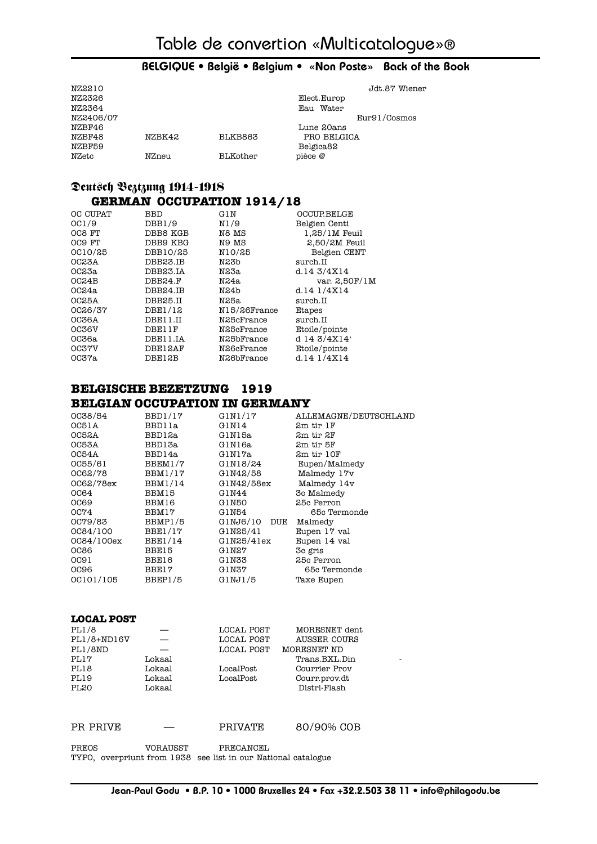| NZ2210    |        |          |              | Jdt.87 Wiener |
|-----------|--------|----------|--------------|---------------|
| NZ2326    |        |          | Elect.Europ  |               |
| NZ2364    |        |          | Water<br>Eau |               |
| NZ2406/07 |        |          |              | Eur91/Cosmos  |
| NZBF46    |        |          | Lune 20ans   |               |
| NZBF48    | NZBK42 | BLKB863  | PRO BELGICA  |               |
| NZBF59    |        |          | Belgica82    |               |
| NZetc     | NZneu  | BLKother | pièce @      |               |

#### Deutsch Beztzung 1914-1918  **GERMAN OCCUPATION 1914/18**

| OC CUPAT     | BBD      | GIN              | <b>OCCUP BELGE</b> |
|--------------|----------|------------------|--------------------|
| OCI/9        | DBB1/9   | N1/9             | Belgien Centi      |
| OC8 FT       | DBB8 KGB | N8 MS            | $1.25/1M$ Feuil    |
| OC9 FT       | DBB9 KBG | N9 MS            | $2,50/2M$ Feuil    |
| OC10/25      | DBB10/25 | N10/25           | Belgien CENT       |
| OC23A        | DBB23.IB | N23b             | surch.II           |
| OC23a        | DBB23.IA | N23a             | d.14 $3/4X14$      |
| OC24B        | DBB24.F  | N24a             | var. 2,50F/1M      |
| OC24a        | DBB24.IB | N24 <sub>b</sub> | d.14 $1/4X14$      |
| <b>OC25A</b> | DBB25.II | N25a             | surch.II           |
| OC26/37      | DBE1/12  | N15/26France     | Etapes             |
| OC36A        | DBE11.II | N25cFrance       | surch.II           |
| 0C36V        | DBE11F   | N25cFrance       | Etoile/pointe      |
| 0C36a        | DBE11.IA | N25bFrance       | d 14 3/4X14'       |
| <b>OC37V</b> | DBE12AF  | N26cFrance       | Etoile/pointe      |
| OC37a        | DBE12B   | N26bFrance       | d.14 $1/4X14$      |
|              |          |                  |                    |

#### **BELGISCHE BEZETZUNG 1919 BELGIAN OCCUPATION IN GERMANY**

| OC38/54     | BBD1/17        | G1N1/17      | ALLEMAGNE/DEUTSCHLAND |
|-------------|----------------|--------------|-----------------------|
| OC51A       | BBD11a         | G1N14        | 2m tir 1F             |
| 0C52A       | BBD12a         | G1N15a       | 2m tir 2F             |
| OC53A       | BBD13a         | G1N16a       | 2m tir 5F             |
| OC54A       | BBD14a         | GINI7a       | 2m tir 10F            |
| OC55/61     | BBEM1/7        | G1N18/24     | Eupen/Malmedy         |
| 0062/78     | BBM1/17        | G1N42/58     | Malmedy 17v           |
| 0C62/78ex   | <b>BBM1/14</b> | G1N42/58ex   | Malmedy 14v           |
| OC64        | BBM15          | G1N44        | 3c Malmedy            |
| OC69        | BBM16          | G1N50        | 25c Perron            |
| OC74        | BBM17          | G1N54        | 65c Termonde          |
| OC79/83     | BBMP1/5        | GINJ6/10 DUE | Malmedy               |
| OC84/100    | BBE1/17        | G1N25/41     | Eupen 17 val          |
| 0C84/100ex  | <b>BBE1/14</b> | G1N25/41ex   | Eupen 14 val          |
| <b>OC86</b> | BBE15          | G1N27        | 3c gris               |
| OC91        | BBE16          | G1N33        | 25c Perron            |
| OC96        | BBE17          | G1N37        | 65c Termonde          |
| OC101/105   | BBEP1/5        | G1NJ1/5      | Taxe Eupen            |

#### **LOCAL POST**

| PL1/8            |        | LOCAL POST | MORESNET dent |  |
|------------------|--------|------------|---------------|--|
| $PL1/8+ND16V$    |        | LOCAL POST | AUSSER COURS  |  |
| PL1/8ND          |        | LOCAL POST | MORESNET ND   |  |
| PL17             | Lokaal |            | Trans.BXL.Din |  |
| PL18             | Lokaal | LocalPost  | Courrier Prov |  |
| PL19             | Lokaal | LocalPost  | Courr.prov.dt |  |
| PL <sub>20</sub> | Lokaal |            | Distri-Flash  |  |
|                  |        |            |               |  |

PR PRIVE — PRIVATE 80/90% COB

PREOS VORAUSST PRECANCEL TYPO, overpriunt from 1938 see list in our National catalogue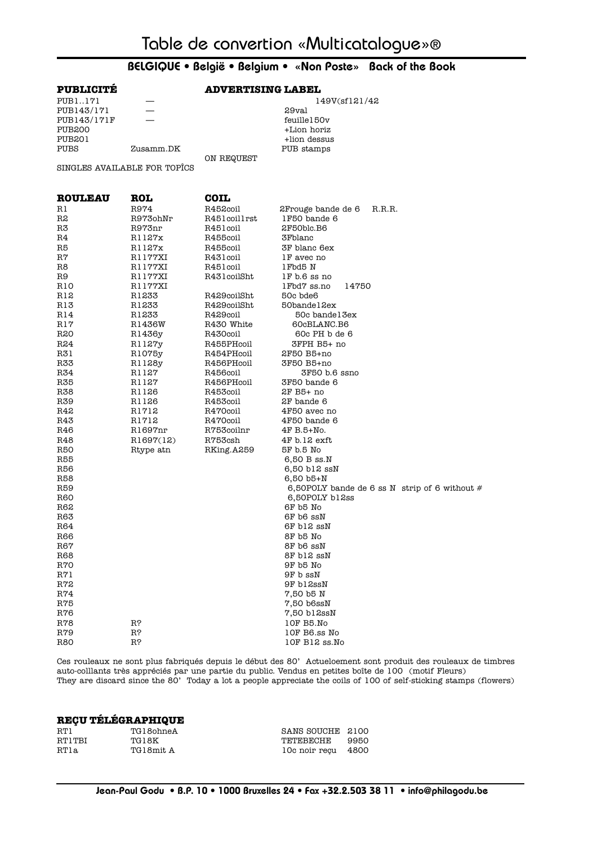| <b>PUBLICITE</b> |                              | <b>ADVERTISING LABEL</b> |                                                                  |  |  |
|------------------|------------------------------|--------------------------|------------------------------------------------------------------|--|--|
| PUB1171          |                              |                          | 149V(sf121/42                                                    |  |  |
| PUB143/171       |                              |                          | 29val                                                            |  |  |
| PUB143/171F      |                              |                          | feuille150v                                                      |  |  |
| PUB200           |                              |                          | +Lion horiz                                                      |  |  |
| PUB201           |                              |                          | +lion dessus                                                     |  |  |
| PUBS             | Zusamm.DK                    |                          | PUB stamps                                                       |  |  |
|                  |                              | ON REQUEST               |                                                                  |  |  |
|                  | SINGLES AVAILABLE FOR TOPICS |                          |                                                                  |  |  |
| <b>ROULEAU</b>   | <b>ROL</b>                   | <b>COIL</b>              |                                                                  |  |  |
| Rl               | R974                         | R452coil                 | 2 Frouge bande de 6<br>R.R.R.                                    |  |  |
| R2               | R973ohNr                     | R451coil1rst             | 1F50 bande 6                                                     |  |  |
| R3               | R973nr                       | R451 coil                | 2F50blc.B6                                                       |  |  |
| R4               | R1127x                       | R455coil                 | 3Fblanc                                                          |  |  |
| R5               | R1127x                       | R455coil                 | 3F blanc 6ex                                                     |  |  |
| R7               | R1177XI                      | R431coil                 | 1F avec no                                                       |  |  |
| R8               | R1177XI                      | R451coil                 | 1Fbd5 N                                                          |  |  |
| R9               | R1177XI                      | R431coilSht              | 1F b.6 ss no                                                     |  |  |
| R10              | R1177XI                      |                          | 1Fbd7 ss.no<br>14750                                             |  |  |
| R12              | R1233                        | R429coilSht              | 50c bde6                                                         |  |  |
| R13              | R1233                        | R429coilSht              | 50bandel2ex                                                      |  |  |
| R14              | R1233                        | R429coil                 | 50c bandel 3ex                                                   |  |  |
| R17              | R1436W                       | R430 White<br>R430coil   | 60cBLANC.B6<br>60c PH b de 6                                     |  |  |
| R20<br>R24       | R1436y<br>R1127y             | R455PHcoil               | 3FPH B5+ no                                                      |  |  |
| R31              | R1075y                       | R454PHcoil               | 2F50 B5+no                                                       |  |  |
| R33              | R1128y                       | R456PHcoil               | 3F50 B5+no                                                       |  |  |
| R34              | R1127                        | R456coil                 | 3F50 b.6 ssno                                                    |  |  |
| R35              | R1127                        | R456PHcoil               | 3F50 bande 6                                                     |  |  |
| R38              | R1126                        | R453coil                 | 2F B5+ no                                                        |  |  |
| R39              | R1126                        | R453coil                 | 2F bande 6                                                       |  |  |
| R42              | R1712                        | R470coil                 | 4F50 avec no                                                     |  |  |
| R43              | R1712                        | R470coil                 | 4F50 bande 6                                                     |  |  |
| R46              | R1697nr                      | R753coilnr               | 4F B.5+No.                                                       |  |  |
| R48              | R1697(12)                    | R753csh                  | 4F b.12 ext                                                      |  |  |
| R50              | Rtype atn                    | RKing.A259               | 5F b.5 No                                                        |  |  |
| R55              |                              |                          | 6,50 B ss.N                                                      |  |  |
| R56              |                              |                          | 6,50 bl2 ssN                                                     |  |  |
| R58              |                              |                          | 6,50 b5+N                                                        |  |  |
| R59<br>R60       |                              |                          | 6,50 POLY bande de 6 ss N strip of 6 without #<br>6,50POLY bl2ss |  |  |
| R62              |                              |                          | 6F b5 No                                                         |  |  |
| R63              |                              |                          | 6F b6 ssN                                                        |  |  |
| R64              |                              |                          | 6F bl2 ssN                                                       |  |  |
| R66              |                              |                          | 8F b5 No                                                         |  |  |
| R67              |                              |                          | 8F b6 ssN                                                        |  |  |
| <b>R68</b>       |                              |                          | 8F bl2 ssN                                                       |  |  |
| R70              |                              |                          | 9F b5 No                                                         |  |  |
| R71              |                              |                          | 9F b ssN                                                         |  |  |
| R72              |                              |                          | 9F bl2ssN                                                        |  |  |
| R74              |                              |                          | 7,50 b5 N                                                        |  |  |
| <b>R75</b>       |                              |                          | 7,50 b6ssN                                                       |  |  |
| R76              |                              |                          | 7,50 b12ssN                                                      |  |  |
| R78              | R?                           |                          | 10F B5.No                                                        |  |  |
| R79              | R?                           |                          | 10F B6.ss No                                                     |  |  |
| R80              | R?                           |                          | 10F B12 ss.No                                                    |  |  |

Ces rouleaux ne sont plus fabriqués depuis le début des 80' Actueloement sont produit des rouleaux de timbres auto-colllants très appréciés par une partie du public. Vendus en petites boîte de 100 (motif Fleurs) They are discard since the 80' Today a lot a people appreciate the coils of 100 of self-sticking stamps (flowers)

| <b>RECU TÉLÉGRAPHIQUE</b> |           |                    |        |  |
|---------------------------|-----------|--------------------|--------|--|
| RT1                       | TG18ohneA | SANS SOUCHE 2100   |        |  |
| RT1TBI                    | TG18K     | TETEBECHE          | - 9950 |  |
| RTla                      | TG18mit A | 10c noir recu 4800 |        |  |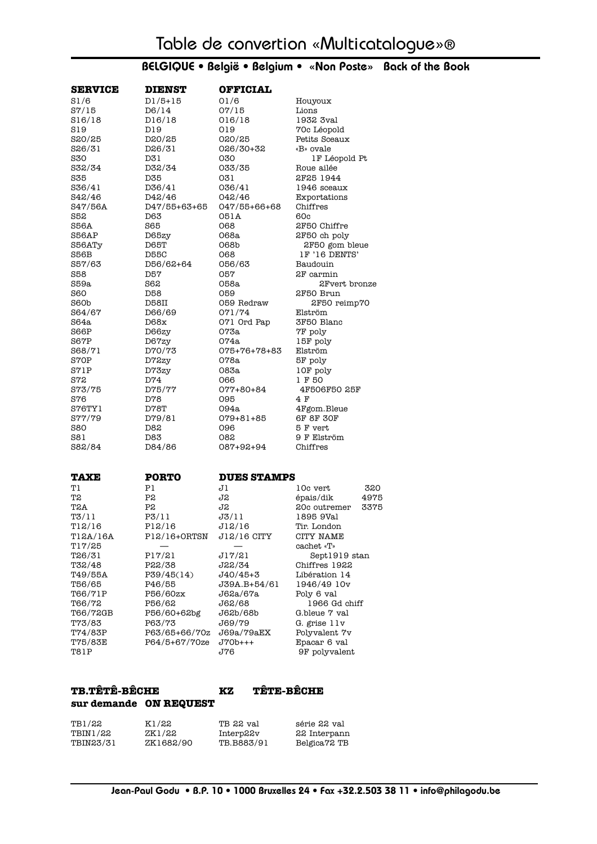| <b>SERVICE</b>      | <b>DIENST</b>   | <b>OFFICIAL</b>    |                         |
|---------------------|-----------------|--------------------|-------------------------|
| S1/6                | $D1/5+15$       | 01/6               | Houyoux                 |
| S7/15               | D6/14           | 07/15              | Lions                   |
| S16/18              | D16/18          | 016/18             | 1932 3val               |
| S19                 | D19             | 019                | 70c Léopold             |
| 820/25              | D20/25          | 020/25             | Petits Sceaux           |
| S <sub>26</sub> /31 | D26/31          | 026/30+32          | «B» ovale               |
| S30                 | D31             | 030                | 1F Léopold Pt           |
| S32/34              | D32/34          | 033/35             | Roue ailée              |
| <b>S35</b>          | D35             | 031                | 2F25 1944               |
| S36/41              | D36/41          | 036/41             | 1946 sceaux             |
| S42/46              | D42/46          | 042/46             | Exportations            |
| S47/56A             | D47/55+63+65    | 047/55+66+68       | Chiffres                |
| S52                 | D63             | 051A               | 60c                     |
| S56A                | S65             | 068                | 2F50 Chiffre            |
| S56AP               | D65zy           | 068a               | 2F50 ch poly            |
| S56ATy              | D65T            | 068b               | 2F50 gom bleue          |
| S56B                | <b>D55C</b>     | 068                | 1F '16 DENTS'           |
| S57/63              | D56/62+64       | 056/63             | Baudouin                |
| S58                 | D57             | 057                | 2F carmin               |
| S59a                | S62             | 058a               | 2Fvert bronze           |
| <b>S60</b>          | D <sub>58</sub> | 059                | 2F50 Brun               |
| S60b                | D58II           | 059 Redraw         | 2F50 reimp70            |
| S64/67              | D66/69          | 071/74             | Elström                 |
| S64a                | D68x            | 071 Ord Pap        | 3F50 Blanc              |
| S66P                | D66zy           | 073a               | 7F poly                 |
| <b>S67P</b>         | D67zy           | 074a               | 15F poly                |
| S68/71              | D70/73          | 075+76+78+83       | Elström                 |
| S70P                | D72zy           | 078a               | 5F poly                 |
| S71P                | D73zy           | 083a               | 10F poly                |
| <b>S72</b>          | D74             | 066                | 1 F 50                  |
| 873/75              | D75/77          | 077+80+84          | 4F506F50 25F            |
| S76                 | D78             | 095                | 4 F                     |
| S76TY1              | D78T            | 094a               | 4Fgom.Bleue             |
| 877/79              | D79/81          | 079+81+85          | <b>6F 8F 30F</b>        |
| S80                 | D82             | 096                | 5 F vert                |
| S81                 | D83             | 082                | 9 F Elström             |
| S82/84              | D84/86          | 087+92+94          | Chiffres                |
| <b>TAXE</b>         | <b>PORTO</b>    | <b>DUES STAMPS</b> |                         |
| Tl                  | P1              | J1                 | 10c vert<br>320         |
| T2                  | P2              | J2                 | épais/dik<br>4975       |
| T2A                 | P2              | J2                 | 3375<br>20c outremer    |
| T3/11               | P3/11           | J3/11              | 1895 9Val               |
| T12/16              | P12/16          | J12/16             | Tir. London             |
| T12A/16A<br>T17/25  | P12/16+ORTSN    | J12/16 CITY        | CITY NAME<br>cachet «T» |
| T26/31              | P17/21          | J17/21             | Sept1919 stan           |
| T32/48              | P22/38          | J22/34             | Chiffres 1922           |
| T49/55A             | P39/45(14)      | J40/45+3           | Libération 14           |
| T56/65              | P46/55          | J39A.B+54/61       | 1946/49 10v             |
| T66/71P             | P56/60zx        | J62a/67a           | Poly 6 val              |
| T66/72              | P56/62          | J62/68             | 1966 Gd chiff           |
| T66/72GB            | P56/60+62bg     | J62b/68b           | G.bleue 7 val           |
| T73/83              | P63/73          | J69/79             | G. grise 11v            |
| T74/83P             | P63/65+66/70z   | J69a/79aEX         | Polyvalent 7v           |
| T75/83E             | P64/5+67/70ze   | $J70b++$           | Epacar 6 val            |
| T81P                |                 | J76                | 9F polyvalent           |
|                     |                 |                    |                         |

#### **TB.TÊTÊ-BÊCHE KZ TÊTE-BÊCHE sur demande ON REQUEST**

| TB1/22    | K1/22     | TB 22 val  | série 22 val |
|-----------|-----------|------------|--------------|
| TBIN1/22  | ZK1/22    | Interp22v  | 22 Interpann |
| TBIN23/31 | ZK1682/90 | TB.B883/91 | Belgica72 TB |